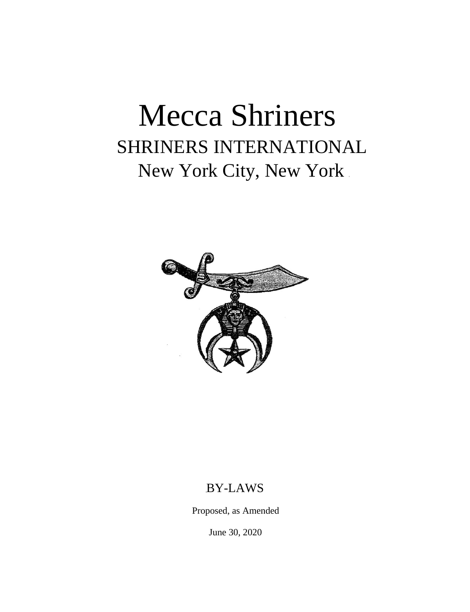# Mecca Shriners SHRINERS INTERNATIONAL New York City, New York



### BY-LAWS

Proposed, as Amended

June 30, 2020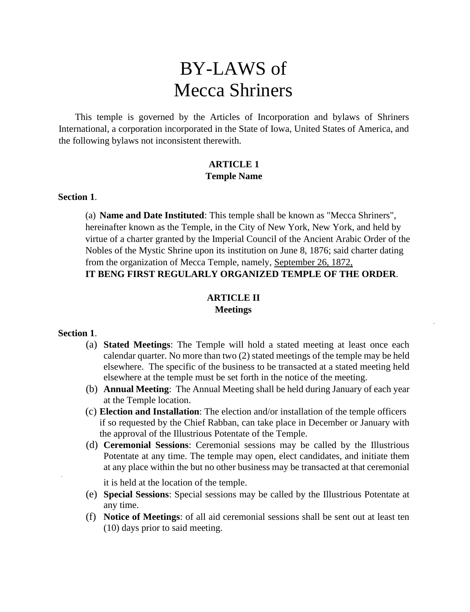## BY-LAWS of Mecca Shriners

This temple is governed by the Articles of Incorporation and bylaws of Shriners International, a corporation incorporated in the State of Iowa, United States of America, and the following bylaws not inconsistent therewith.

#### **ARTICLE 1 Temple Name**

#### **Section 1**.

(a) **Name and Date Instituted**: This temple shall be known as "Mecca Shriners", hereinafter known as the Temple, in the City of New York, New York, and held by virtue of a charter granted by the Imperial Council of the Ancient Arabic Order of the Nobles of the Mystic Shrine upon its institution on June 8, 1876; said charter dating from the organization of Mecca Temple, namely, September 26, 1872, **IT BENG FIRST REGULARLY ORGANIZED TEMPLE OF THE ORDER**.

#### **ARTICLE II Meetings**

#### **Section 1**.

- (a) **Stated Meetings**: The Temple will hold a stated meeting at least once each calendar quarter. No more than two (2) stated meetings of the temple may be held elsewhere. The specific of the business to be transacted at a stated meeting held elsewhere at the temple must be set forth in the notice of the meeting.
- (b) **Annual Meeting**: The Annual Meeting shall be held during January of each year at the Temple location.
- (c) **Election and Installation**: The election and/or installation of the temple officers if so requested by the Chief Rabban, can take place in December or January with the approval of the Illustrious Potentate of the Temple.
- (d) **Ceremonial Sessions**: Ceremonial sessions may be called by the Illustrious Potentate at any time. The temple may open, elect candidates, and initiate them at any place within the but no other business may be transacted at that ceremonial

it is held at the location of the temple.

- (e) **Special Sessions**: Special sessions may be called by the Illustrious Potentate at any time.
- (f) **Notice of Meetings**: of all aid ceremonial sessions shall be sent out at least ten (10) days prior to said meeting.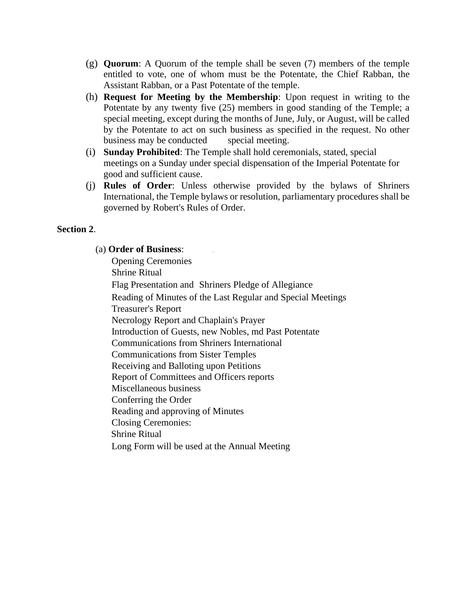- (g) **Quorum**: A Quorum of the temple shall be seven (7) members of the temple entitled to vote, one of whom must be the Potentate, the Chief Rabban, the Assistant Rabban, or a Past Potentate of the temple.
- (h) **Request for Meeting by the Membership**: Upon request in writing to the Potentate by any twenty five (25) members in good standing of the Temple; a special meeting, except during the months of June, July, or August, will be called by the Potentate to act on such business as specified in the request. No other business may be conducted special meeting.
- (i) **Sunday Prohibited**: The Temple shall hold ceremonials, stated, special meetings on a Sunday under special dispensation of the Imperial Potentate for good and sufficient cause.
- (j) **Rules of Order**: Unless otherwise provided by the bylaws of Shriners International, the Temple bylaws or resolution, parliamentary procedures shall be governed by Robert's Rules of Order.

#### **Section 2**.

#### (a) **Order of Business**:

Opening Ceremonies Shrine Ritual Flag Presentation and Shriners Pledge of Allegiance Reading of Minutes of the Last Regular and Special Meetings Treasurer's Report Necrology Report and Chaplain's Prayer Introduction of Guests, new Nobles, md Past Potentate Communications from Shriners International Communications from Sister Temples Receiving and Balloting upon Petitions Report of Committees and Officers reports Miscellaneous business Conferring the Order Reading and approving of Minutes Closing Ceremonies: Shrine Ritual Long Form will be used at the Annual Meeting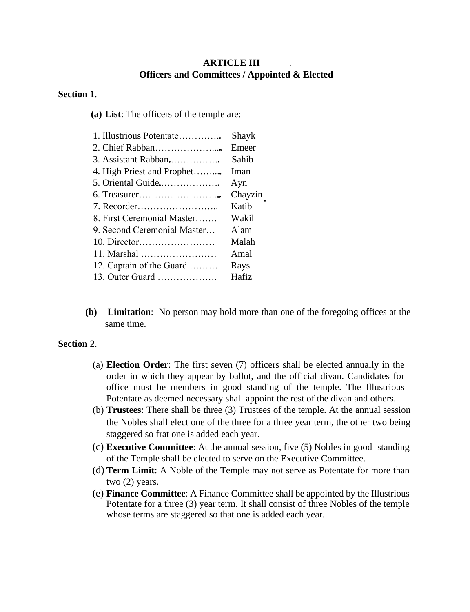#### **ARTICLE III Officers and Committees / Appointed & Elected**

#### **Section 1**.

**(a) List**: The officers of the temple are:

| Shayk   |
|---------|
| Emeer   |
| Sahib   |
| Iman    |
| Ayn     |
| Chayzin |
| Katib   |
| Wakil   |
| Alam    |
| Malah   |
| Amal    |
| Rays    |
| Hafiz   |
|         |

**(b) Limitation**: No person may hold more than one of the foregoing offices at the same time.

#### **Section 2**.

- (a) **Election Order**: The first seven (7) officers shall be elected annually in the order in which they appear by ballot, and the official divan. Candidates for office must be members in good standing of the temple. The Illustrious Potentate as deemed necessary shall appoint the rest of the divan and others.
- (b) **Trustees**: There shall be three (3) Trustees of the temple. At the annual session the Nobles shall elect one of the three for a three year term, the other two being staggered so frat one is added each year.
- (c) **Executive Committee**: At the annual session, five (5) Nobles in good standing of the Temple shall be elected to serve on the Executive Committee.
- (d) **Term Limit**: A Noble of the Temple may not serve as Potentate for more than two (2) years.
- (e) **Finance Committee**: A Finance Committee shall be appointed by the Illustrious Potentate for a three (3) year term. It shall consist of three Nobles of the temple whose terms are staggered so that one is added each year.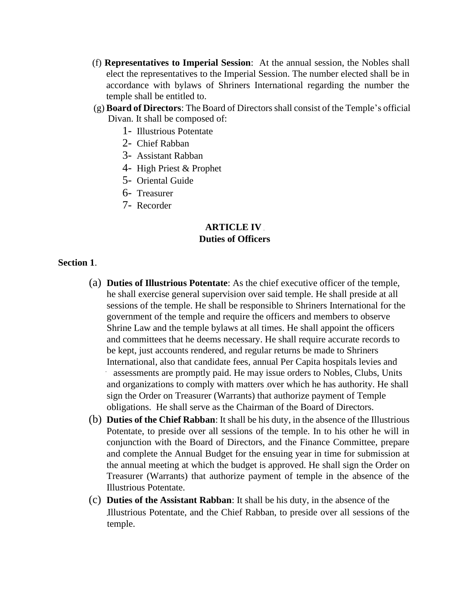- (f) **Representatives to Imperial Session**: At the annual session, the Nobles shall elect the representatives to the Imperial Session. The number elected shall be in accordance with bylaws of Shriners International regarding the number the temple shall be entitled to.
- (g) **Board of Directors**: The Board of Directors shall consist of the Temple's official Divan. It shall be composed of:
	- 1- Illustrious Potentate
	- 2- Chief Rabban
	- 3- Assistant Rabban
	- 4- High Priest & Prophet
	- 5- Oriental Guide
	- 6- Treasurer
	- 7- Recorder

#### **ARTICLE IV Duties of Officers**

#### **Section 1**.

- (a) **Duties of Illustrious Potentate**: As the chief executive officer of the temple, he shall exercise general supervision over said temple. He shall preside at all sessions of the temple. He shall be responsible to Shriners International for the government of the temple and require the officers and members to observe Shrine Law and the temple bylaws at all times. He shall appoint the officers and committees that he deems necessary. He shall require accurate records to be kept, just accounts rendered, and regular returns be made to Shriners International, also that candidate fees, annual Per Capita hospitals levies and assessments are promptly paid. He may issue orders to Nobles, Clubs, Units and organizations to comply with matters over which he has authority. He shall sign the Order on Treasurer (Warrants) that authorize payment of Temple obligations. He shall serve as the Chairman of the Board of Directors.
- (b) **Duties of the Chief Rabban**: It shall be his duty, in the absence of the Illustrious Potentate, to preside over all sessions of the temple. In to his other he will in conjunction with the Board of Directors, and the Finance Committee, prepare and complete the Annual Budget for the ensuing year in time for submission at the annual meeting at which the budget is approved. He shall sign the Order on Treasurer (Warrants) that authorize payment of temple in the absence of the Illustrious Potentate.
- (c) **Duties of the Assistant Rabban**: It shall be his duty, in the absence of the Illustrious Potentate, and the Chief Rabban, to preside over all sessions of the temple.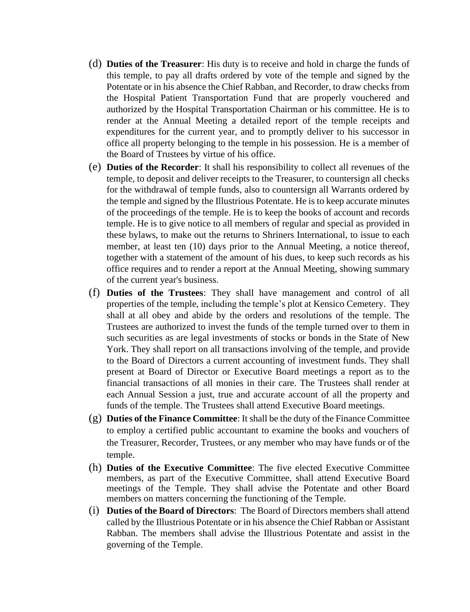- (d) **Duties of the Treasurer**: His duty is to receive and hold in charge the funds of this temple, to pay all drafts ordered by vote of the temple and signed by the Potentate or in his absence the Chief Rabban, and Recorder, to draw checks from the Hospital Patient Transportation Fund that are properly vouchered and authorized by the Hospital Transportation Chairman or his committee. He is to render at the Annual Meeting a detailed report of the temple receipts and expenditures for the current year, and to promptly deliver to his successor in office all property belonging to the temple in his possession. He is a member of the Board of Trustees by virtue of his office.
- (e) **Duties of the Recorder**: It shall his responsibility to collect all revenues of the temple, to deposit and deliver receipts to the Treasurer, to countersign all checks for the withdrawal of temple funds, also to countersign all Warrants ordered by the temple and signed by the Illustrious Potentate. He is to keep accurate minutes of the proceedings of the temple. He is to keep the books of account and records temple. He is to give notice to all members of regular and special as provided in these bylaws, to make out the returns to Shriners International, to issue to each member, at least ten (10) days prior to the Annual Meeting, a notice thereof, together with a statement of the amount of his dues, to keep such records as his office requires and to render a report at the Annual Meeting, showing summary of the current year's business.
- (f) **Duties of the Trustees**: They shall have management and control of all properties of the temple, including the temple's plot at Kensico Cemetery. They shall at all obey and abide by the orders and resolutions of the temple. The Trustees are authorized to invest the funds of the temple turned over to them in such securities as are legal investments of stocks or bonds in the State of New York. They shall report on all transactions involving of the temple, and provide to the Board of Directors a current accounting of investment funds. They shall present at Board of Director or Executive Board meetings a report as to the financial transactions of all monies in their care. The Trustees shall render at each Annual Session a just, true and accurate account of all the property and funds of the temple. The Trustees shall attend Executive Board meetings.
- (g) **Duties of the Finance Committee**: It shall be the duty of the Finance Committee to employ a certified public accountant to examine the books and vouchers of the Treasurer, Recorder, Trustees, or any member who may have funds or of the temple.
- (h) **Duties of the Executive Committee**: The five elected Executive Committee members, as part of the Executive Committee, shall attend Executive Board meetings of the Temple. They shall advise the Potentate and other Board members on matters concerning the functioning of the Temple.
- (i) **Duties of the Board of Directors**: The Board of Directors members shall attend called by the Illustrious Potentate or in his absence the Chief Rabban or Assistant Rabban. The members shall advise the Illustrious Potentate and assist in the governing of the Temple.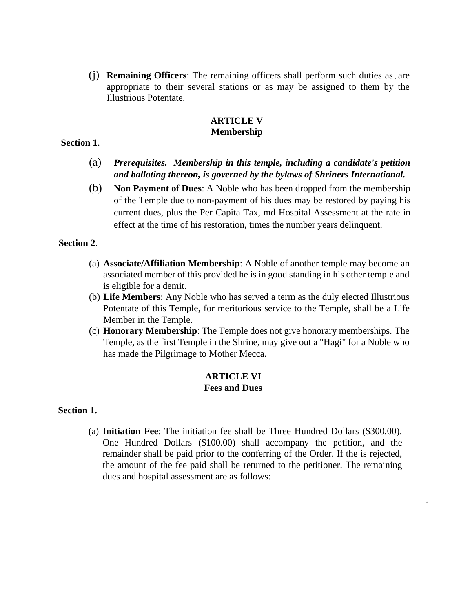(j) **Remaining Officers**: The remaining officers shall perform such duties as are appropriate to their several stations or as may be assigned to them by the Illustrious Potentate.

#### **ARTICLE V Membership**

#### **Section 1**.

- (a) *Prerequisites. Membership in this temple, including a candidate's petition and balloting thereon, is governed by the bylaws of Shriners International.*
- (b) **Non Payment of Dues**: A Noble who has been dropped from the membership of the Temple due to non-payment of his dues may be restored by paying his current dues, plus the Per Capita Tax, md Hospital Assessment at the rate in effect at the time of his restoration, times the number years delinquent.

#### **Section 2**.

- (a) **Associate/Affiliation Membership**: A Noble of another temple may become an associated member of this provided he is in good standing in his other temple and is eligible for a demit.
- (b) **Life Members**: Any Noble who has served a term as the duly elected Illustrious Potentate of this Temple, for meritorious service to the Temple, shall be a Life Member in the Temple.
- (c) **Honorary Membership**: The Temple does not give honorary memberships. The Temple, as the first Temple in the Shrine, may give out a "Hagi" for a Noble who has made the Pilgrimage to Mother Mecca.

#### **ARTICLE VI Fees and Dues**

#### **Section 1.**

(a) **Initiation Fee**: The initiation fee shall be Three Hundred Dollars (\$300.00). One Hundred Dollars (\$100.00) shall accompany the petition, and the remainder shall be paid prior to the conferring of the Order. If the is rejected, the amount of the fee paid shall be returned to the petitioner. The remaining dues and hospital assessment are as follows: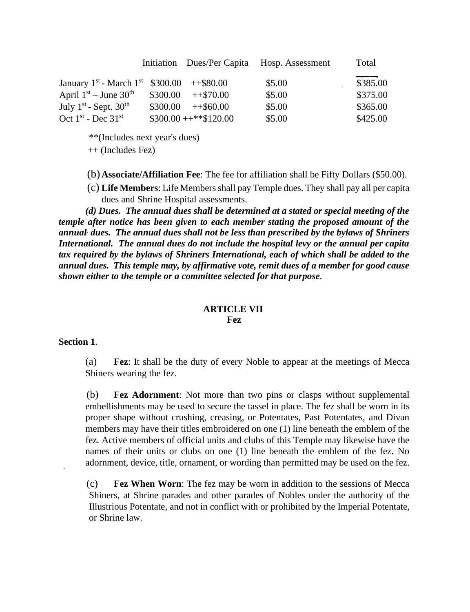|                                                                    |          |                      | Initiation Dues/Per Capita Hosp. Assessment | Total    |
|--------------------------------------------------------------------|----------|----------------------|---------------------------------------------|----------|
| January 1 <sup>st</sup> - March 1 <sup>st</sup> \$300.00 ++\$80.00 |          |                      | \$5.00                                      | \$385.00 |
| April $1st - June 30th$                                            | \$300.00 | $+570.00$            | \$5.00                                      | \$375.00 |
| July $1st$ - Sept. 30 <sup>th</sup>                                | \$300.00 | $+860.00$            | \$5.00                                      | \$365.00 |
| Oct $1st$ - Dec $31st$                                             |          | $$300.00 + **120.00$ | \$5.00                                      | \$425.00 |

\*\*(Includes next year's dues)

++ (Includes Fez)

- (b) **Associate/Affiliation Fee**: The fee for affiliation shall be Fifty Dollars (\$50.00).
- (c) **Life Members**: Life Members shall pay Temple dues. They shall pay all per capita dues and Shrine Hospital assessments.

*(d) Dues. The annual dues shall be determined at a stated or special meeting of the temple after notice has been given to each member stating the proposed amount of the annual, dues. The annual dues shall not be less than prescribed by the bylaws of Shriners International. The annual dues do not include the hospital levy or the annual per capita tax required by the bylaws of Shriners International, each of which shall be added to the annual dues. This temple may, by affirmative vote, remit dues of a member for good cause shown either to the temple or a committee selected for that purpose.*

#### **ARTICLE VII Fez**

#### **Section 1**.

(a) **Fez**: It shall be the duty of every Noble to appear at the meetings of Mecca Shiners wearing the fez.

(b) **Fez Adornment**: Not more than two pins or clasps without supplemental embellishments may be used to secure the tassel in place. The fez shall be worn in its proper shape without crushing, creasing, or Potentates, Past Potentates, and Divan members may have their titles embroidered on one (1) line beneath the emblem of the fez. Active members of official units and clubs of this Temple may likewise have the names of their units or clubs on one (1) line beneath the emblem of the fez. No adornment, device, title, ornament, or wording than permitted may be used on the fez.

(c) **Fez When Worn**: The fez may be worn in addition to the sessions of Mecca Shiners, at Shrine parades and other parades of Nobles under the authority of the Illustrious Potentate, and not in conflict with or prohibited by the Imperial Potentate, or Shrine law.